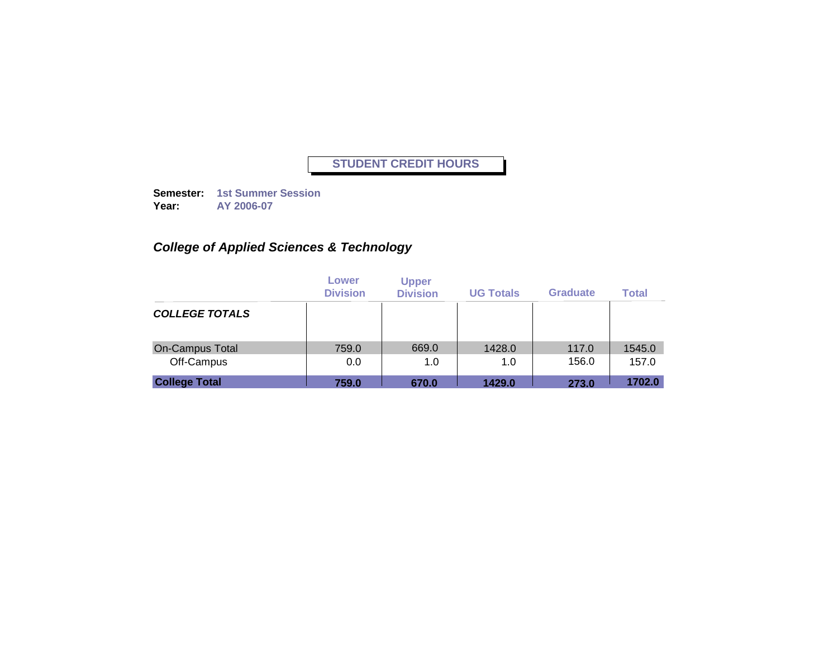**Semester: 1st Summer Session Year: AY 2006-07**

# *College of Applied Sciences & Technology*

|                        | Lower<br><b>Division</b> | <b>Upper</b><br><b>Division</b> | <b>UG Totals</b> | Graduate | <b>Total</b> |
|------------------------|--------------------------|---------------------------------|------------------|----------|--------------|
| <b>COLLEGE TOTALS</b>  |                          |                                 |                  |          |              |
| <b>On-Campus Total</b> | 759.0                    | 669.0                           | 1428.0           | 117.0    | 1545.0       |
| Off-Campus             | 0.0                      | 1.0                             | 1.0              | 156.0    | 157.0        |
| <b>College Total</b>   | 759.0                    | 670.0                           | 1429.0           | 273.0    | 1702.0       |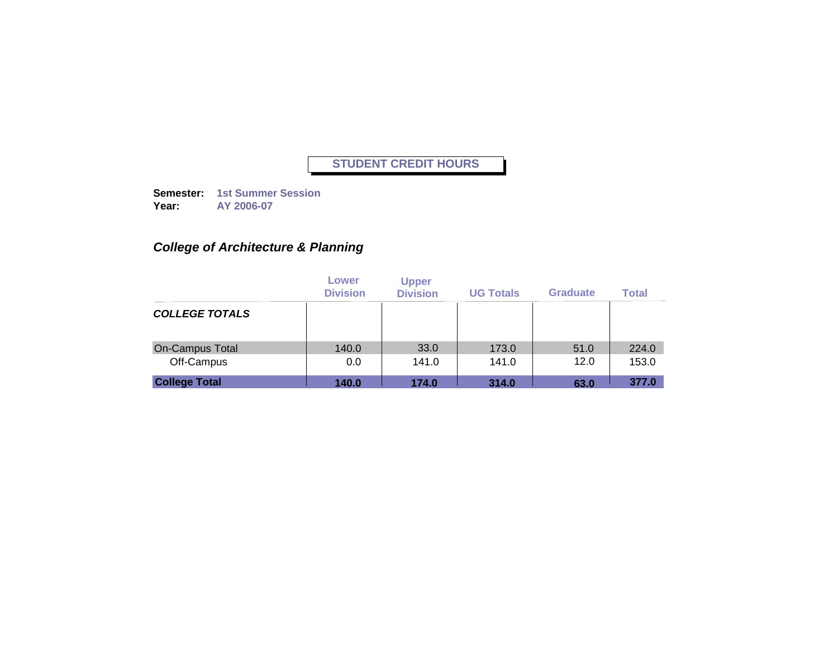**Semester: 1st Summer Session Year: AY 2006-07**

# *College of Architecture & Planning*

|                        | Lower<br><b>Division</b> | <b>Upper</b><br><b>Division</b> | <b>UG Totals</b> | <b>Graduate</b> | <b>Total</b> |
|------------------------|--------------------------|---------------------------------|------------------|-----------------|--------------|
| <b>COLLEGE TOTALS</b>  |                          |                                 |                  |                 |              |
| <b>On-Campus Total</b> | 140.0                    | 33.0                            | 173.0            | 51.0            | 224.0        |
| Off-Campus             | 0.0                      | 141.0                           | 141.0            | 12.0            | 153.0        |
| <b>College Total</b>   | 140.0                    | 174.0                           | 314.0            | 63.0            | 377.0        |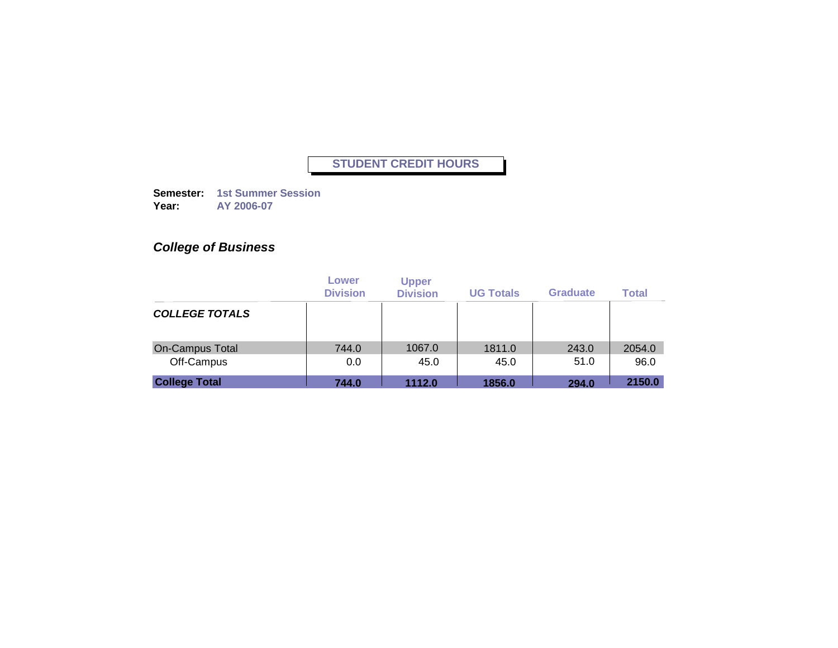**Semester: 1st Summer Session Year: AY 2006-07**

# *College of Business*

|                        | Lower<br><b>Division</b> | <b>Upper</b><br><b>Division</b> | <b>UG Totals</b> | <b>Graduate</b> | <b>Total</b> |
|------------------------|--------------------------|---------------------------------|------------------|-----------------|--------------|
| <b>COLLEGE TOTALS</b>  |                          |                                 |                  |                 |              |
| <b>On-Campus Total</b> | 744.0                    | 1067.0                          | 1811.0           | 243.0           | 2054.0       |
| Off-Campus             | 0.0                      | 45.0                            | 45.0             | 51.0            | 96.0         |
| <b>College Total</b>   | 744.0                    | 1112.0                          | 1856.0           | 294.0           | 2150.0       |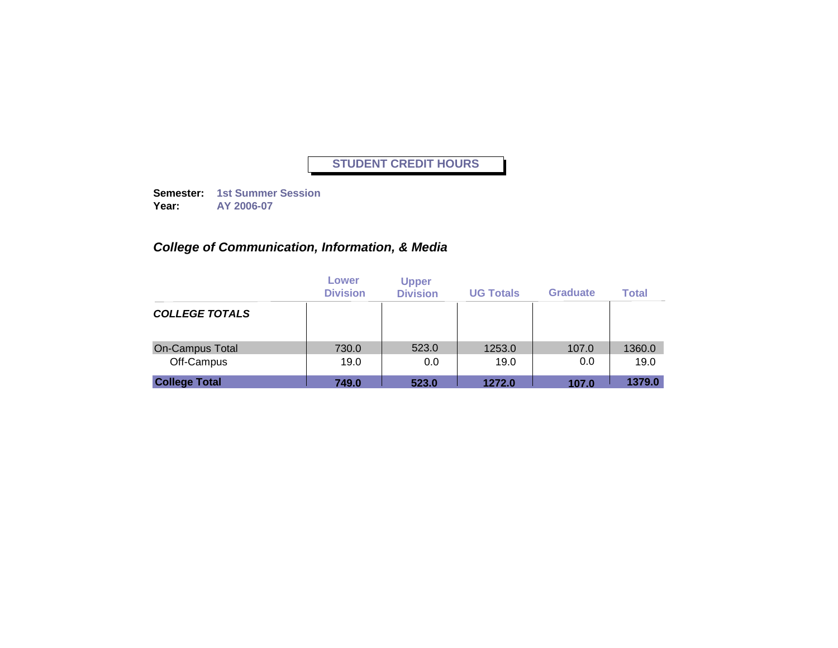**Semester: 1st Summer Session Year: AY 2006-07**

# *College of Communication, Information, & Media*

|                        | Lower<br><b>Division</b> | <b>Upper</b><br><b>Division</b> | <b>UG Totals</b> | <b>Graduate</b> | <b>Total</b> |
|------------------------|--------------------------|---------------------------------|------------------|-----------------|--------------|
| <b>COLLEGE TOTALS</b>  |                          |                                 |                  |                 |              |
| <b>On-Campus Total</b> | 730.0                    | 523.0                           | 1253.0           | 107.0           | 1360.0       |
| Off-Campus             | 19.0                     | 0.0                             | 19.0             | 0.0             | 19.0         |
| <b>College Total</b>   | 749.0                    | 523.0                           | 1272.0           | 107.0           | 1379.0       |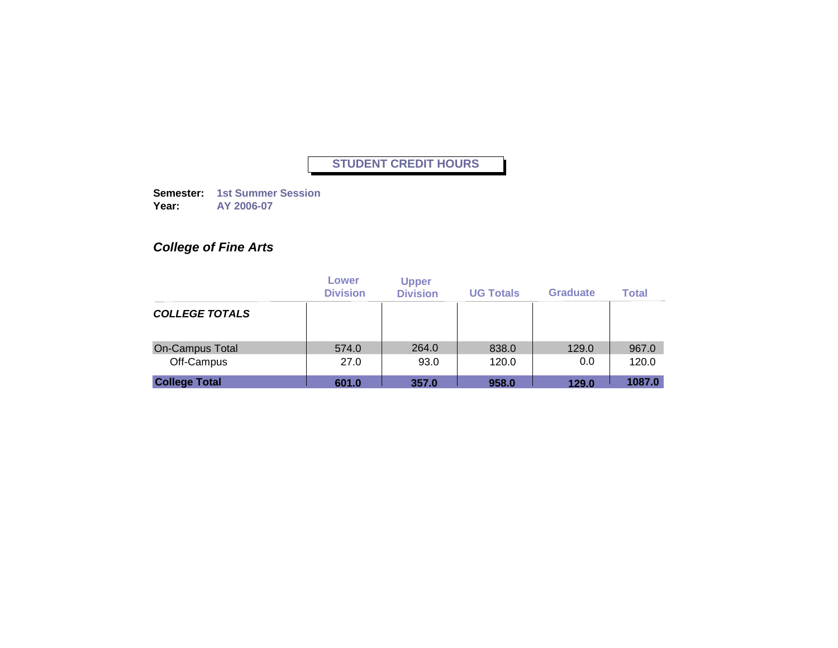**Semester: 1st Summer Session Year: AY 2006-07**

# *College of Fine Arts*

|                       | Lower<br><b>Division</b> | <b>Upper</b><br><b>Division</b> | <b>UG Totals</b> | <b>Graduate</b> | <b>Total</b> |
|-----------------------|--------------------------|---------------------------------|------------------|-----------------|--------------|
| <b>COLLEGE TOTALS</b> |                          |                                 |                  |                 |              |
| On-Campus Total       | 574.0                    | 264.0                           | 838.0            | 129.0           | 967.0        |
| Off-Campus            | 27.0                     | 93.0                            | 120.0            | 0.0             | 120.0        |
| <b>College Total</b>  | 601.0                    | 357.0                           | 958.0            | 129.0           | 1087.0       |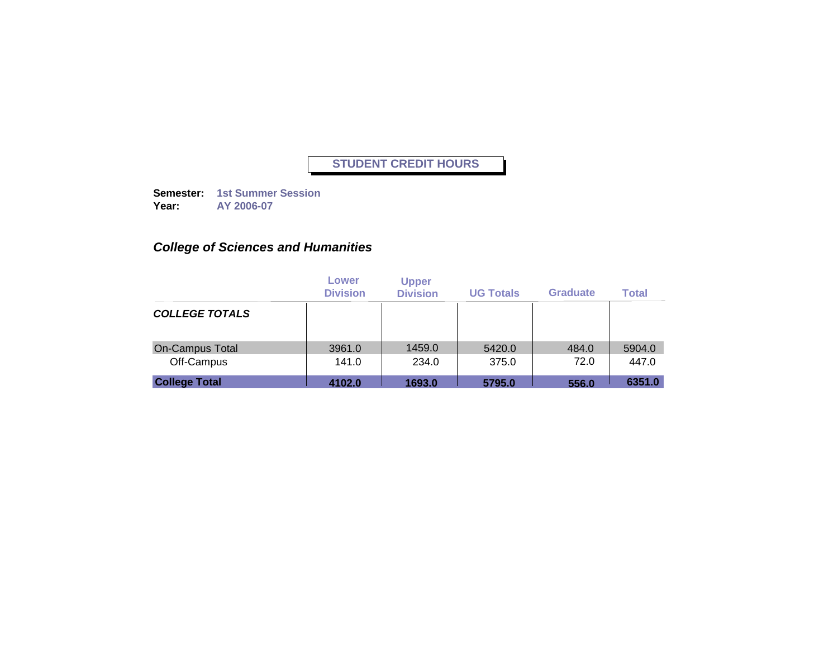**Semester: 1st Summer Session Year: AY 2006-07**

# *College of Sciences and Humanities*

|                       | Lower<br><b>Division</b> | <b>Upper</b><br><b>Division</b> | <b>UG Totals</b> | Graduate | <b>Total</b> |
|-----------------------|--------------------------|---------------------------------|------------------|----------|--------------|
| <b>COLLEGE TOTALS</b> |                          |                                 |                  |          |              |
| On-Campus Total       | 3961.0                   | 1459.0                          | 5420.0           | 484.0    | 5904.0       |
| Off-Campus            | 141.0                    | 234.0                           | 375.0            | 72.0     | 447.0        |
| <b>College Total</b>  | 4102.0                   | 1693.0                          | 5795.0           | 556.0    | 6351.0       |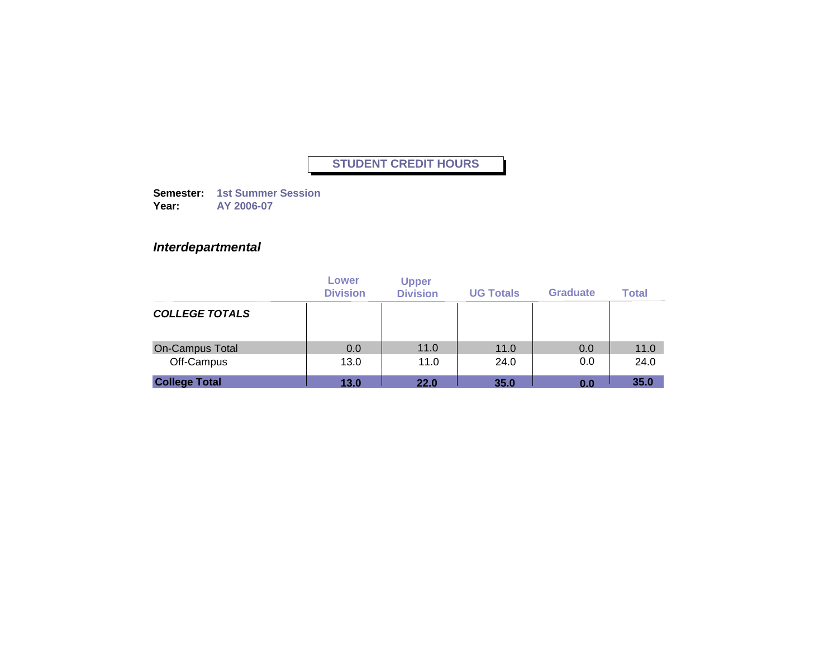**Semester: 1st Summer Session Year: AY 2006-07**

### *Interdepartmental*

|                        | Lower<br><b>Division</b> | <b>Upper</b><br><b>Division</b> | <b>UG Totals</b> | <b>Graduate</b> | <b>Total</b> |
|------------------------|--------------------------|---------------------------------|------------------|-----------------|--------------|
| <b>COLLEGE TOTALS</b>  |                          |                                 |                  |                 |              |
| <b>On-Campus Total</b> | 0.0                      | 11.0                            | 11.0             | 0.0             | 11.0         |
| Off-Campus             | 13.0                     | 11.0                            | 24.0             | 0.0             | 24.0         |
| <b>College Total</b>   | 13.0                     | 22.0                            | 35.0             | 0.0             | 35.0         |